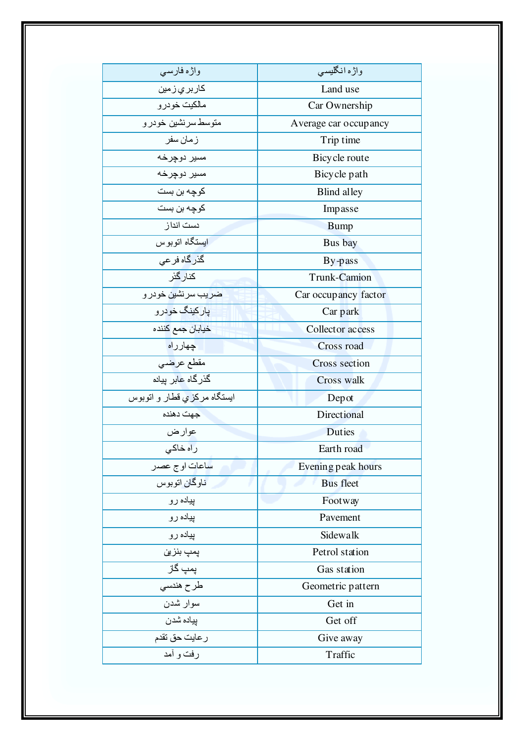| واژه فارسی                    | واژه انگلیسی          |
|-------------------------------|-----------------------|
| کا <i>ر</i> بر <i>ي</i> ز مين | Land use              |
| مالكيت خودرو                  | Car Ownership         |
| متوسط سرنشين خودر و           | Average car occupancy |
| زمان سفر                      | Trip time             |
| مسير دوچرخه                   | Bicycle route         |
| مسير دوجرخه                   | Bicycle path          |
| كوچه بن بست                   | Blind alley           |
| كوچه بن بست                   | Impasse               |
| دست انداز                     | <b>Bump</b>           |
| ايستگاه اتوبو س               | Bus bay               |
| گذر گاه فر عی                 | By-pass               |
| كنار گزر                      | Trunk-Camion          |
| ضريب سرنشين خودر و            | Car occupancy factor  |
| يار کينگ خو در و              | Car park              |
| خيابان جمع كننده              | Collector access      |
| جهارراه                       | Cross road            |
| مقطع عر <mark>ض</mark> ي      | Cross section         |
| گذر گاه عابر بیاده            | Cross walk            |
| ایستگاه مرکزی قطار و اتوبوس   | Depot                 |
| جهت دهنده                     | Directional           |
| عوار ض                        | <b>Duties</b>         |
| راہ خاک <i>ی</i>              | Earth road            |
| ساعات او ج عصدر               | Evening peak hours    |
| ناوگان اتوبوس                 | <b>Bus</b> fleet      |
| پیاده رو                      | Footway               |
| پیاده رو                      | Pavement              |
| پیاده رو                      | Sidewalk              |
| پمپ بنزین                     | Petrol station        |
| پمپ گاز                       | Gas station           |
| طرح هندسي                     | Geometric pattern     |
| سوار شدن                      | Get in                |
| پياده شدن                     | Get off               |
| ر عايت حق تقدم                | Give away             |
| رفت و أمد                     | Traffic               |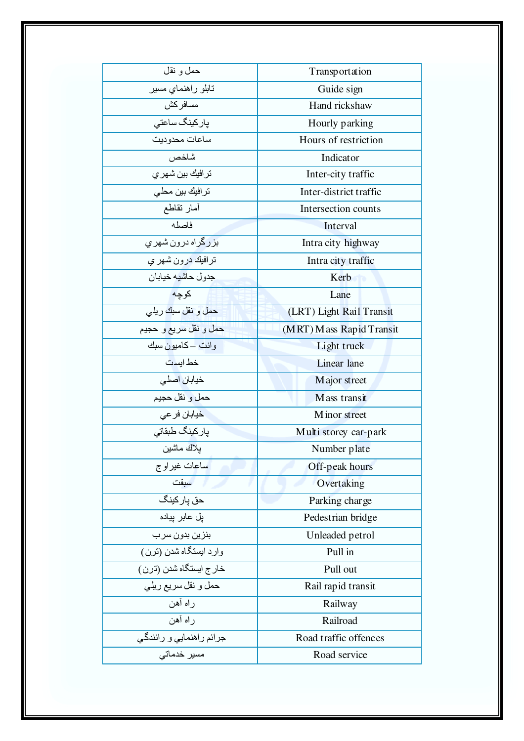| حمل و نقل                      | Transportation           |
|--------------------------------|--------------------------|
| تابلو راهنماي مسير             | Guide sign               |
| مسافر كش                       | Hand rickshaw            |
| پا <i>ر</i> کینگ ساعت <i>ی</i> | Hourly parking           |
| ساعات محدوديت                  | Hours of restriction     |
| شاخص                           | Indicator                |
| تر افيك بين شهر ي              | Inter-city traffic       |
| ترافيك بين محلى                | Inter-district traffic   |
| أمار تقاطع                     | Intersection counts      |
| فاصله                          | Interval                 |
| بزرگراه درون شهری              | Intra city highway       |
| ترافيك درون شهر <i>ي</i>       | Intra city traffic       |
| جدول حاشيه خيابان              | Kerb                     |
| كوجه                           | Lane                     |
| حمل و نقل سبك ريلي             | (LRT) Light Rail Transit |
| حمل و نقل سريع و حجيم          | (MRT) Mass Rapid Transit |
| و انت ــ کاميو ن سبك           | Light truck              |
| خط ابست                        | Linear lane              |
| خيابان اصلي                    | Major street             |
| حمل و نقل حجيم                 | Mass transit             |
| خيابان فر عي                   | Minor street             |
| يار كينگ طبقاتي                | Multi storey car-park    |
| بلاك ماشين                     | Number plate             |
| ساعات غيراوج                   | Off-peak hours           |
| سبقت                           | Overtaking               |
| حق پاركينگ                     | Parking charge           |
| یل عابر پیاده                  | Pedestrian bridge        |
| بنزين بدون سرب                 | Unleaded petrol          |
| وارد ایستگاه شدن (ترن)         | Pull in                  |
| خار ج ايستگاه شدن (ترن)        | Pull out                 |
| حمل و نقل سريع ريلي            | Rail rapid transit       |
| راه أهن                        | Railway                  |
| راه أهن                        | Railroad                 |
| جرائم راهنمايي و رانندگي       | Road traffic offences    |
| مسیر خدماتی                    | Road service             |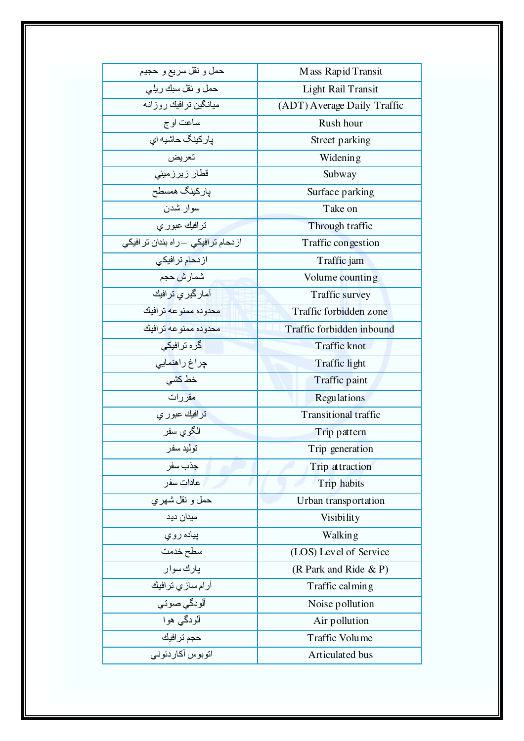| حمل و نقل سريع و حجيم               | Mass Rapid Transit          |
|-------------------------------------|-----------------------------|
| حمل و نقل سبك ريلي                  | Light Rail Transit          |
| میانگین تر افیك روزانه              | (ADT) Average Daily Traffic |
| ساعت او ج                           | Rush hour                   |
| پار کینگ حاشیه ای                   | Street parking              |
| تعريض                               | Widening                    |
| قطار زیرزمینی                       | Subway                      |
| پارکینگ همسطح                       | Surface parking             |
| سوار شدن                            | Take on                     |
| ترافيك عبور ي                       | Through traffic             |
| از دحام ترافیکی _راه بندان تر افیکی | Traffic congestion          |
| از د <b>حا</b> م تر افیک <i>ی</i>   | Traffic jam                 |
| شمار ش حجم                          | Volume counting             |
| آمار گیر <i>ی</i> ترافیك            | Traffic survey              |
| محدوده ممنوعه ترافيك                | Traffic forbidden zone      |
| محدوده ممنوعه تر افيك               | Traffic forbidden inbound   |
| گرہ ترافیک <i>ی</i>                 | <b>Traffic knot</b>         |
| چراغ راهنمای <i>ی</i>               | Traffic light               |
| خط کشی                              | Traffic paint               |
| مقر رات                             | <b>Regulations</b>          |
| ترافيك عبور ي                       | <b>Transitional traffic</b> |
| الگوي سفر                           | Trip pattern                |
| تو ليد سفر                          | Trip generation             |
| جذب سفر                             | Trip attraction             |
| عادات سفر                           | Trip habits                 |
| حمل و نقل شهر ي                     | Urban transportation        |
| میدان دید                           | Visibility                  |
| پياده روي                           | Walking                     |
| سطح خدمت                            | (LOS) Level of Service      |
| پارك سوار                           | (R Park and Ride & P)       |
| آرام ساز ي ترافيك                   | Traffic calming             |
| ألودگي صوتي                         | Noise pollution             |
| آلودگي هوا                          | Air pollution               |
| حجم ترافيك                          | <b>Traffic Volume</b>       |
| اتوبوس أكاردئوني                    | Articulated bus             |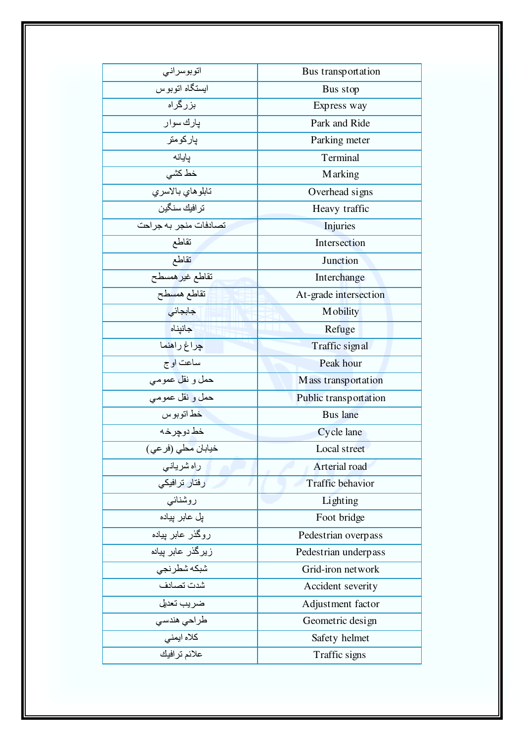| اتوبوسراني                 | Bus transportation      |
|----------------------------|-------------------------|
| ايستگاه اتوبوس             | Bus stop                |
| بزرگراه                    | Express way             |
| يارك سوار                  | Park and Ride           |
| ياركومتر                   | Parking meter           |
| يايانه                     | Terminal                |
| خط کشی                     | <b>Marking</b>          |
| تابلوهاي بالاسري           | Overhead signs          |
| تر افيك سنگين              | Heavy traffic           |
| تصادفات منجر به جراحت      | <b>Injuries</b>         |
| تقاطع                      | Intersection            |
| تقاطع                      | Junction                |
| تقاطع غير همسطح            | Interchange             |
| تقاطع هم <mark>سط</mark> ح | At-grade intersection   |
| جابجائى                    | <b>M</b> obility        |
| جانيناه                    | Refuge                  |
| چراغ راهنما                | Traffic signal          |
| ساعت او ج                  | Peak hour               |
| حمل و نقل عموم <i>ی</i>    | M ass transportation    |
| حمل و نقل عمومي            | Public transportation   |
| خط اتو بو س                | <b>Bus</b> lane         |
| خط دو چر خـه               | Cycle lane              |
| خيابان مطي (فرعي)          | Local street            |
| راه شریانی                 | Arterial road           |
| رفتار ترافیکی              | <b>Traffic behavior</b> |
| روشنائى                    | Lighting                |
| پل عابر پیاده              | Foot bridge             |
| روگذر عابر بیباده          | Pedestrian overpass     |
| زیرگذر عابر پیاده          | Pedestrian underpass    |
| شبكه شطرنجى                | Grid-iron network       |
| شدت تصادف                  | Accident severity       |
| ضريب تعديل                 | Adjustment factor       |
| طراحي هندسي                | Geometric design        |
| كلاه ايمني                 | Safety helmet           |
| علائم ترافيك               | Traffic signs           |